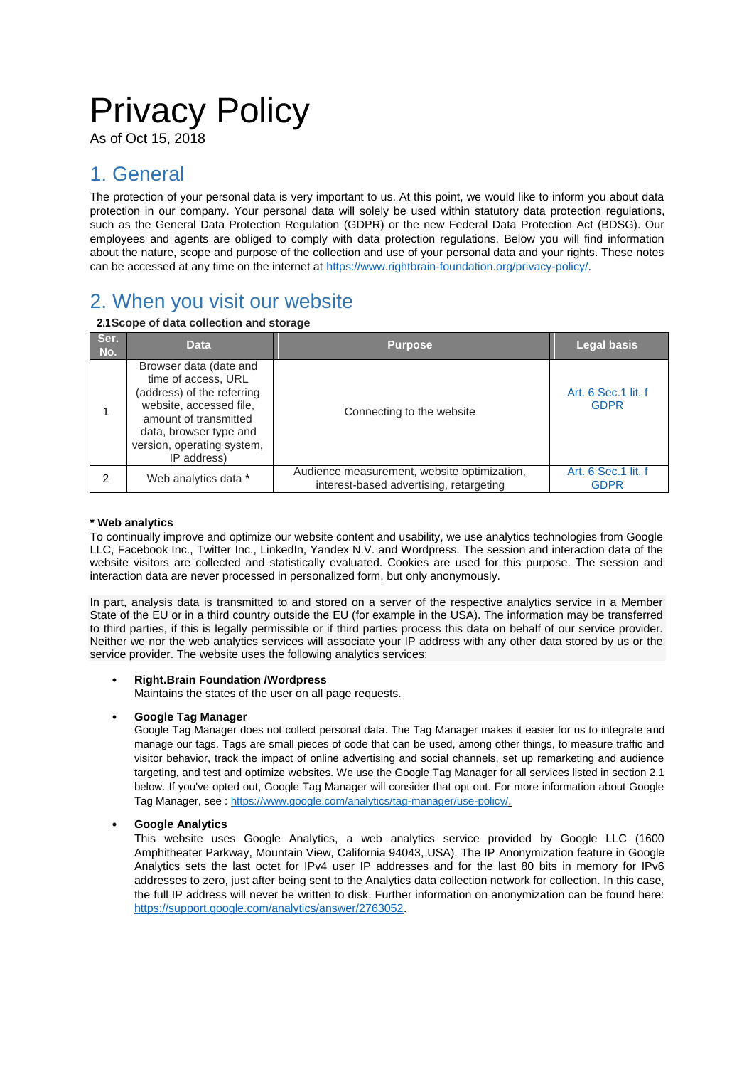# Privacy Policy

As of Oct 15, 2018

### 1. General

The protection of your personal data is very important to us. At this point, we would like to inform you about data protection in our company. Your personal data will solely be used within statutory data protection regulations, such as the General Data Protection Regulation (GDPR) or the new Federal Data Protection Act (BDSG). Our employees and agents are obliged to comply with data protection regulations. Below you will find information about the nature, scope and purpose of the collection and use of your personal data and your rights. These notes can be accessed at any time on the internet a[t https://www.rightbrain-foundation.org/privacy-policy/.](https://www.rightbrain-foundation.org/privacy-policy/)

### 2. When you visit our website

### **2.1Scope of data collection and storage**

| Ser.<br>No. | <b>Data</b>                                                                                                                                                                                            | <b>Purpose</b>                                                                         | <b>Legal basis</b>                  |
|-------------|--------------------------------------------------------------------------------------------------------------------------------------------------------------------------------------------------------|----------------------------------------------------------------------------------------|-------------------------------------|
|             | Browser data (date and<br>time of access, URL<br>(address) of the referring<br>website, accessed file,<br>amount of transmitted<br>data, browser type and<br>version, operating system,<br>IP address) | Connecting to the website                                                              | Art. 6 Sec. 1 lit. f<br><b>GDPR</b> |
| 2           | Web analytics data *                                                                                                                                                                                   | Audience measurement, website optimization,<br>interest-based advertising, retargeting | Art. 6 Sec. 1 lit. f<br><b>GDPR</b> |

### **\* Web analytics**

To continually improve and optimize our website content and usability, we use analytics technologies from Google LLC, Facebook Inc., Twitter Inc., LinkedIn, Yandex N.V. and Wordpress. The session and interaction data of the website visitors are collected and statistically evaluated. Cookies are used for this purpose. The session and interaction data are never processed in personalized form, but only anonymously.

In part, analysis data is transmitted to and stored on a server of the respective analytics service in a Member State of the EU or in a third country outside the EU (for example in the USA). The information may be transferred to third parties, if this is legally permissible or if third parties process this data on behalf of our service provider. Neither we nor the web analytics services will associate your IP address with any other data stored by us or the service provider. The website uses the following analytics services:

### • **Right.Brain Foundation /Wordpress**

Maintains the states of the user on all page requests.

### • **Google Tag Manager**

Google Tag Manager does not collect personal data. The Tag Manager makes it easier for us to integrate and manage our tags. Tags are small pieces of code that can be used, among other things, to measure traffic and visitor behavior, track the impact of online advertising and social channels, set up remarketing and audience targeting, and test and optimize websites. We use the Google Tag Manager for all services listed in section 2.1 below. If you've opted out, Google Tag Manager will consider that opt out. For more information about Google Tag Manager, see : [https://www.google.com/analytics/tag-manager/use-policy/.](https://www.google.com/analytics/tag-manager/use-policy/)

### • **Google Analytics**

This website uses Google Analytics, a web analytics service provided by Google LLC (1600 Amphitheater Parkway, Mountain View, California 94043, USA). The IP Anonymization feature in Google Analytics sets the last octet for IPv4 user IP addresses and for the last 80 bits in memory for IPv6 addresses to zero, just after being sent to the Analytics data collection network for collection. In this case, the full IP address will never be written to disk. Further information on anonymization can be found here: [https://support.google.com/analytics/answer/2763052.](https://support.google.com/analytics/answer/2763052)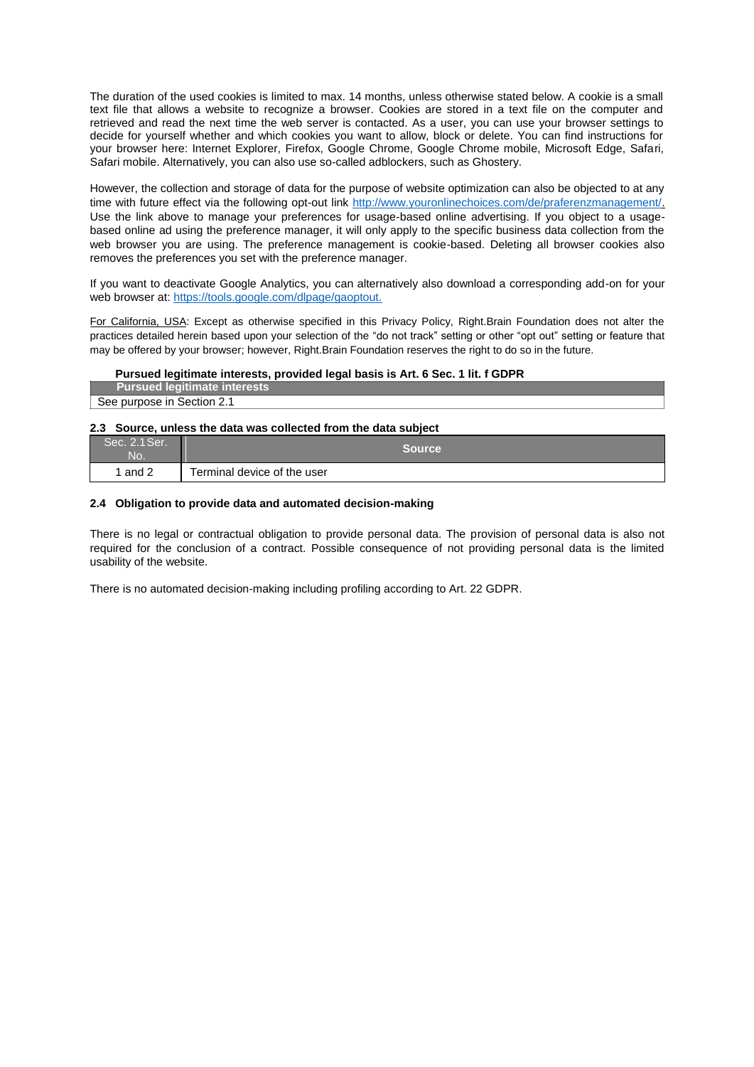The duration of the used cookies is limited to max. 14 months, unless otherwise stated below. A cookie is a small text file that allows a website to recognize a browser. Cookies are stored in a text file on the computer and retrieved and read the next time the web server is contacted. As a user, you can use your browser settings to decide for yourself whether and which cookies you want to allow, block or delete. You can find instructions for your browser here: Internet Explorer, Firefox, Google Chrome, Google Chrome mobile, Microsoft Edge, Safari, Safari mobile. Alternatively, you can also use so-called adblockers, such as Ghostery.

However, the collection and storage of data for the purpose of website optimization can also be objected to at any time with future effect via the following opt-out link [http://www.youronlinechoices.com/de/praferenzmanagement/.](http://www.youronlinechoices.com/de/praferenzmanagement/) Use the link above to manage your preferences for usage-based online advertising. If you object to a usagebased online ad using the preference manager, it will only apply to the specific business data collection from the web browser you are using. The preference management is cookie-based. Deleting all browser cookies also removes the preferences you set with the preference manager.

If you want to deactivate Google Analytics, you can alternatively also download a corresponding add-on for your web browser at: [https://tools.google.com/dlpage/gaoptout.](https://tools.google.com/dlpage/gaoptout)

For California, USA: Except as otherwise specified in this Privacy Policy, Right.Brain Foundation does not alter the practices detailed herein based upon your selection of the "do not track" setting or other "opt out" setting or feature that may be offered by your browser; however, Right.Brain Foundation reserves the right to do so in the future.

#### **2.2 Pursued legitimate interests, provided legal basis is Art. 6 Sec. 1 lit. f GDPR**

**Pursued legitimate interests** See purpose in Section 2.1

#### **2.3 Source, unless the data was collected from the data subject**

| Sec. 2.1 Ser.<br>No. | Source                      |
|----------------------|-----------------------------|
| and 2                | Terminal device of the user |

#### **2.4 Obligation to provide data and automated decision-making**

There is no legal or contractual obligation to provide personal data. The provision of personal data is also not required for the conclusion of a contract. Possible consequence of not providing personal data is the limited usability of the website.

There is no automated decision-making including profiling according to Art. 22 GDPR.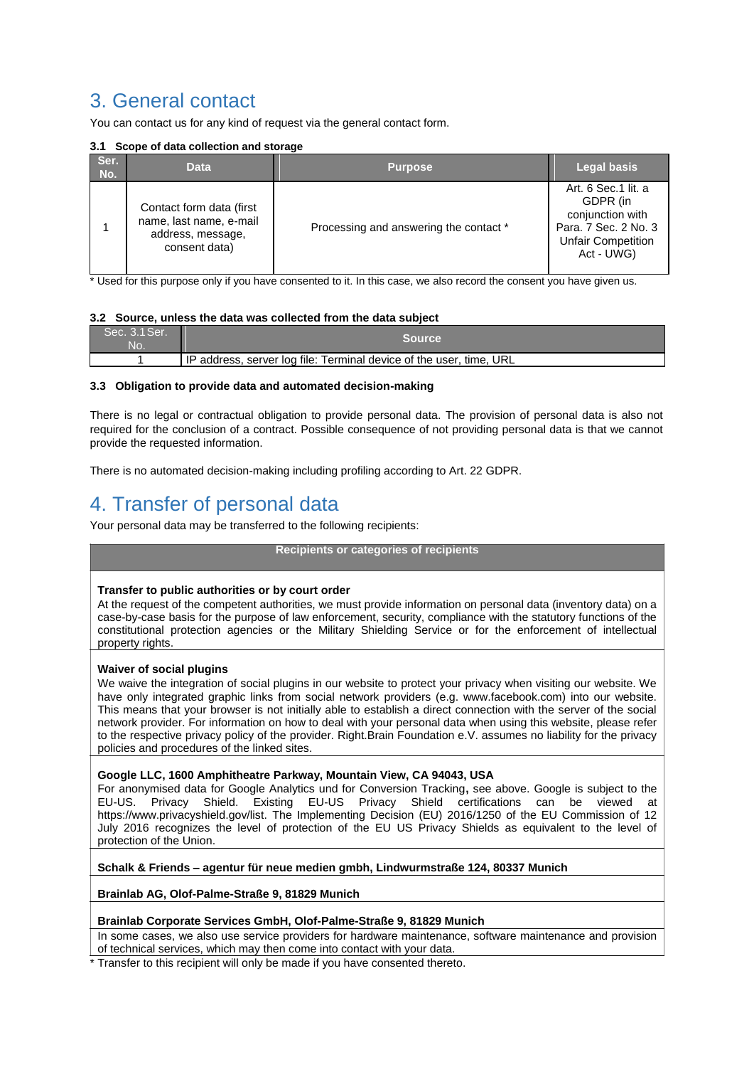### 3. General contact

You can contact us for any kind of request via the general contact form.

## **Ser. Data Purpose Legal basis No.** [Art. 6 Sec.1 lit. a](https://dsgvo-gesetz.de/art-6-dsgvo/) Contact form data (first [GDPR \(](https://dsgvo-gesetz.de/art-6-dsgvo/)in GDPR (in GDPR (in GDPR (in GDPR (in GDPR (in GDPR (in GDPR (in GDPR (in GDPR (in GDPR (in GDPR (in GDPR (in GDPR (in GDPR (in GDPR (in GDPR (in GDP)  $\sim$ Frocessing and answering the contact \* and ansulation with address, message, and answering the contact \* Para. 7 Sec. 2 No. 3 and ansulation consent data)  $P$  and  $P$  and  $P$  and  $P$  and  $P$  and  $P$  and  $P$  and  $P$  and  $P$

**3.1 Scope of data collection and storage**

Used for this purpose only if you have consented to it. In this case, we also record the consent you have given us.

#### **3.2 Source, unless the data was collected from the data subject**

| Sec. 3.1 Ser. | Source                                                              |
|---------------|---------------------------------------------------------------------|
|               | IP address, server log file: Terminal device of the user, time, URL |

#### **3.3 Obligation to provide data and automated decision-making**

There is no legal or contractual obligation to provide personal data. The provision of personal data is also not required for the conclusion of a contract. Possible consequence of not providing personal data is that we cannot provide the requested information.

There is no automated decision-making including profiling according to Art. 22 GDPR.

### 4. Transfer of personal data

Your personal data may be transferred to the following recipients:

#### **Recipients or categories of recipients**

#### **Transfer to public authorities or by court order**

At the request of the competent authorities, we must provide information on personal data (inventory data) on a case-by-case basis for the purpose of law enforcement, security, compliance with the statutory functions of the constitutional protection agencies or the Military Shielding Service or for the enforcement of intellectual property rights.

### **Waiver of social plugins**

We waive the integration of social plugins in our website to protect your privacy when visiting our website. We have only integrated graphic links from social network providers (e.g. www.facebook.com) into our website. This means that your browser is not initially able to establish a direct connection with the server of the social network provider. For information on how to deal with your personal data when using this website, please refer to the respective privacy policy of the provider. Right.Brain Foundation e.V. assumes no liability for the privacy policies and procedures of the linked sites.

### **Google LLC, 1600 Amphitheatre Parkway, Mountain View, CA 94043, USA**

For anonymised data for Google Analytics und for Conversion Tracking**,** see above. Google is subject to the EU-US. Privacy Shield. Existing EU-US Privacy Shield certifications can be viewed at [https://www.privacyshield.gov/list. T](https://www.privacyshield.gov/list)he Implementing Decision (EU) 2016/1250 of the EU Commission of 12 July 2016 recognizes the level of protection of the EU US Privacy Shields as equivalent to the level of protection of the Union.

### **Schalk & Friends – agentur für neue medien gmbh, Lindwurmstraße 124, 80337 Munich**

### **Brainlab AG, Olof-Palme-Straße 9, 81829 Munich**

### **Brainlab Corporate Services GmbH, Olof-Palme-Straße 9, 81829 Munich**

In some cases, we also use service providers for hardware maintenance, software maintenance and provision of technical services, which may then come into contact with your data.

\* Transfer to this recipient will only be made if you have consented thereto.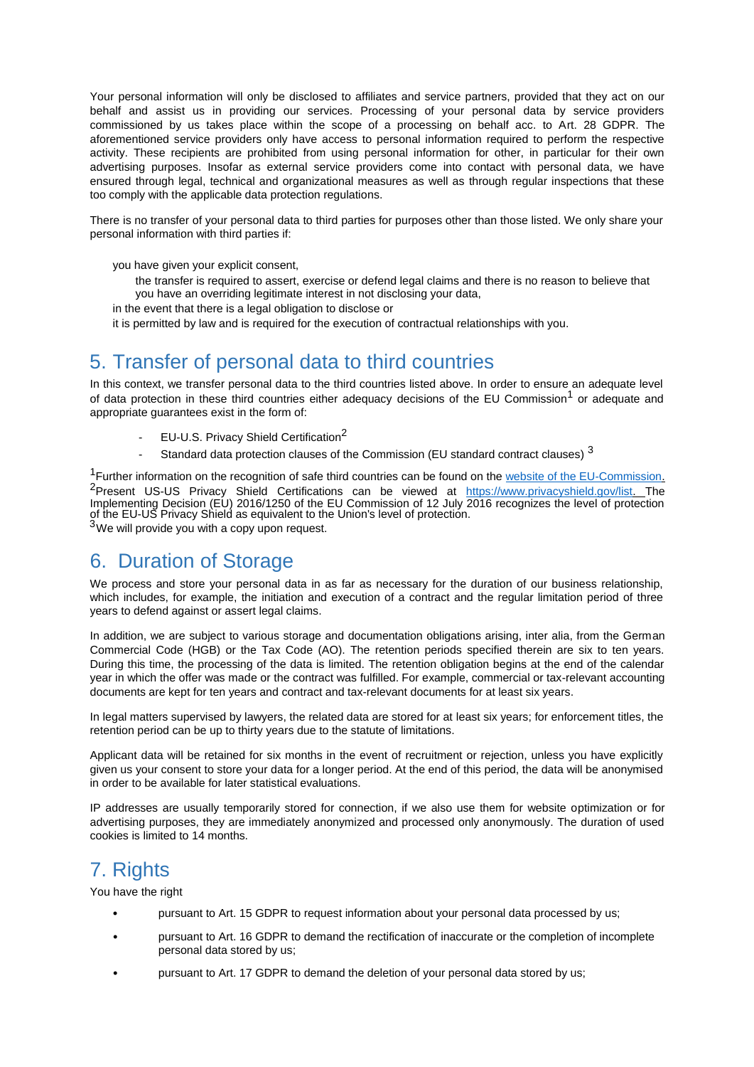Your personal information will only be disclosed to affiliates and service partners, provided that they act on our behalf and assist us in providing our services. Processing of your personal data by service providers commissioned by us takes place within the scope of a processing on behalf acc. to Art. 28 GDPR. The aforementioned service providers only have access to personal information required to perform the respective activity. These recipients are prohibited from using personal information for other, in particular for their own advertising purposes. Insofar as external service providers come into contact with personal data, we have ensured through legal, technical and organizational measures as well as through regular inspections that these too comply with the applicable data protection regulations.

There is no transfer of your personal data to third parties for purposes other than those listed. We only share your personal information with third parties if:

you have given your explicit consent,

the transfer is required to assert, exercise or defend legal claims and there is no reason to believe that you have an overriding legitimate interest in not disclosing your data,

in the event that there is a legal obligation to disclose or

it is permitted by law and is required for the execution of contractual relationships with you.

### 5. Transfer of personal data to third countries

In this context, we transfer personal data to the third countries listed above. In order to ensure an adequate level of data protection in these third countries either adequacy decisions of the EU Commission<sup>1</sup> or adequate and appropriate guarantees exist in the form of:

- EU-U.S. Privacy Shield Certification<sup>2</sup>
- Standard data protection clauses of the Commission (EU standard contract clauses)  $3$

<sup>1</sup>Further information on the recognition of safe third countries can be found on the [website of the EU-Commission.](https://ec.europa.eu/info/law/law-topic/data-protection/data-transfers-outside-eu/adequacy-protection-personal-data-non-eu-countries_de) <sup>2</sup>Present US-US Privacy Shield Certifications can be viewed at [https://www.privacyshield.gov/list. T](https://www.privacyshield.gov/list)he Implementing Decision (EU) 2016/1250 of the EU Commission of 12 July 2016 recognizes the level of protection of the EU-US Privacy Shield as equivalent to the Union's level of protection.<br><sup>3</sup>We will provide you with a copy upon request.

# 6. Duration of Storage

We process and store your personal data in as far as necessary for the duration of our business relationship, which includes, for example, the initiation and execution of a contract and the regular limitation period of three years to defend against or assert legal claims.

In addition, we are subject to various storage and documentation obligations arising, inter alia, from the German Commercial Code (HGB) or the Tax Code (AO). The retention periods specified therein are six to ten years. During this time, the processing of the data is limited. The retention obligation begins at the end of the calendar year in which the offer was made or the contract was fulfilled. For example, commercial or tax-relevant accounting documents are kept for ten years and contract and tax-relevant documents for at least six years.

In legal matters supervised by lawyers, the related data are stored for at least six years; for enforcement titles, the retention period can be up to thirty years due to the statute of limitations.

Applicant data will be retained for six months in the event of recruitment or rejection, unless you have explicitly given us your consent to store your data for a longer period. At the end of this period, the data will be anonymised in order to be available for later statistical evaluations.

IP addresses are usually temporarily stored for connection, if we also use them for website optimization or for advertising purposes, they are immediately anonymized and processed only anonymously. The duration of used cookies is limited to 14 months.

### 7. Rights

You have the right

- pursuant to Art. 15 GDPR to request information about your personal data processed by us;
- pursuant to Art. 16 GDPR to demand the rectification of inaccurate or the completion of incomplete personal data stored by us;
- pursuant to Art. 17 GDPR to demand the deletion of your personal data stored by us;